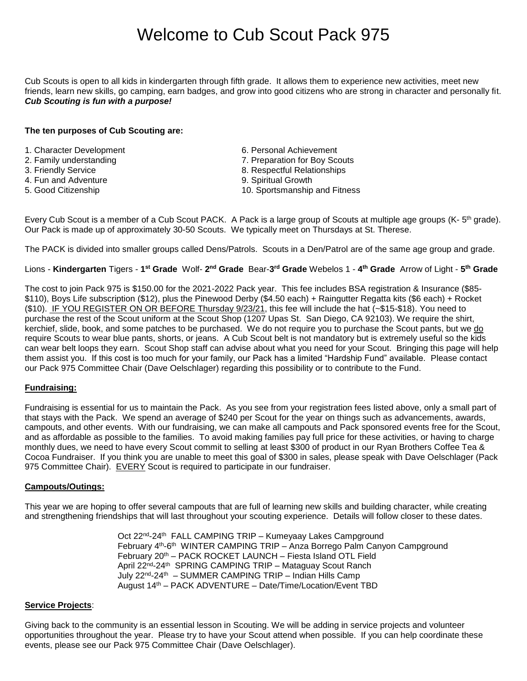# Welcome to Cub Scout Pack 975

Cub Scouts is open to all kids in kindergarten through fifth grade. It allows them to experience new activities, meet new friends, learn new skills, go camping, earn badges, and grow into good citizens who are strong in character and personally fit. *Cub Scouting is fun with a purpose!*

## **The ten purposes of Cub Scouting are:**

- 1. Character Development 6. Personal Achievement
- 2. Family understanding The Communication of Preparation for Boy Scouts
- 
- 4. Fun and Adventure **9. Spiritual Growth**<br>5. Good Citizenship 6. Spiritual Growth 5. Sportsmanship
- 
- 
- 
- 3. Friendly Service **8. Respectful Relationships** 
	-
	- 10. Sportsmanship and Fitness

Every Cub Scout is a member of a Cub Scout PACK. A Pack is a large group of Scouts at multiple age groups (K- 5<sup>th</sup> grade). Our Pack is made up of approximately 30-50 Scouts. We typically meet on Thursdays at St. Therese.

The PACK is divided into smaller groups called Dens/Patrols. Scouts in a Den/Patrol are of the same age group and grade.

Lions - **Kindergarten** Tigers - 1<sup>st</sup> Grade Wolf- 2<sup>nd</sup> Grade Bear-3<sup>rd</sup> Grade Webelos 1 - 4<sup>th</sup> Grade Arrow of Light - 5<sup>th</sup> Grade

The cost to join Pack 975 is \$150.00 for the 2021-2022 Pack year. This fee includes BSA registration & Insurance (\$85- \$110), Boys Life subscription (\$12), plus the Pinewood Derby (\$4.50 each) + Raingutter Regatta kits (\$6 each) + Rocket (\$10). IF YOU REGISTER ON OR BEFORE Thursday 9/23/21, this fee will include the hat (~\$15-\$18). You need to purchase the rest of the Scout uniform at the Scout Shop (1207 Upas St. San Diego, CA 92103). We require the shirt, kerchief, slide, book, and some patches to be purchased. We do not require you to purchase the Scout pants, but we do require Scouts to wear blue pants, shorts, or jeans. A Cub Scout belt is not mandatory but is extremely useful so the kids can wear belt loops they earn. Scout Shop staff can advise about what you need for your Scout. Bringing this page will help them assist you. If this cost is too much for your family, our Pack has a limited "Hardship Fund" available. Please contact our Pack 975 Committee Chair (Dave Oelschlager) regarding this possibility or to contribute to the Fund.

# **Fundraising:**

Fundraising is essential for us to maintain the Pack. As you see from your registration fees listed above, only a small part of that stays with the Pack. We spend an average of \$240 per Scout for the year on things such as advancements, awards, campouts, and other events. With our fundraising, we can make all campouts and Pack sponsored events free for the Scout, and as affordable as possible to the families. To avoid making families pay full price for these activities, or having to charge monthly dues, we need to have every Scout commit to selling at least \$300 of product in our Ryan Brothers Coffee Tea & Cocoa Fundraiser. If you think you are unable to meet this goal of \$300 in sales, please speak with Dave Oelschlager (Pack 975 Committee Chair). EVERY Scout is required to participate in our fundraiser.

## **Campouts/Outings:**

This year we are hoping to offer several campouts that are full of learning new skills and building character, while creating and strengthening friendships that will last throughout your scouting experience. Details will follow closer to these dates.

> Oct 22<sup>nd</sup>-24<sup>th</sup> FALL CAMPING TRIP - Kumeyaay Lakes Campground February 4<sup>th</sup>-6<sup>th</sup> WINTER CAMPING TRIP - Anza Borrego Palm Canyon Campground February 20<sup>th</sup> – PACK ROCKET LAUNCH – Fiesta Island OTL Field April 22<sup>nd</sup>-24<sup>th</sup> SPRING CAMPING TRIP – Mataguay Scout Ranch July 22nd-24th – SUMMER CAMPING TRIP – Indian Hills Camp August 14th – PACK ADVENTURE – Date/Time/Location/Event TBD

## **Service Projects**:

Giving back to the community is an essential lesson in Scouting. We will be adding in service projects and volunteer opportunities throughout the year. Please try to have your Scout attend when possible. If you can help coordinate these events, please see our Pack 975 Committee Chair (Dave Oelschlager).